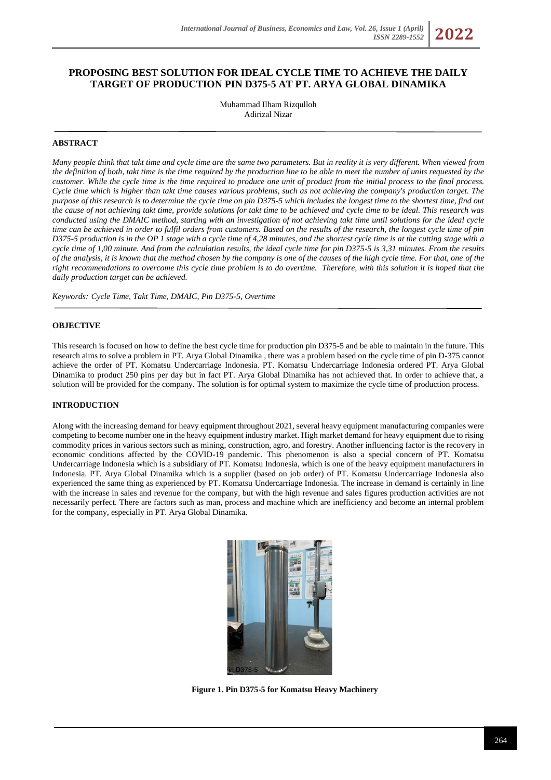# **PROPOSING BEST SOLUTION FOR IDEAL CYCLE TIME TO ACHIEVE THE DAILY TARGET OF PRODUCTION PIN D375-5 AT PT. ARYA GLOBAL DINAMIKA**

Muhammad Ilham Rizqulloh Adirizal Nizar

### **ABSTRACT**

*Many people think that takt time and cycle time are the same two parameters. But in reality it is very different. When viewed from the definition of both, takt time is the time required by the production line to be able to meet the number of units requested by the customer. While the cycle time is the time required to produce one unit of product from the initial process to the final process. Cycle time which is higher than takt time causes various problems, such as not achieving the company's production target. The purpose of this research is to determine the cycle time on pin D375-5 which includes the longest time to the shortest time, find out the cause of not achieving takt time, provide solutions for takt time to be achieved and cycle time to be ideal. This research was conducted using the DMAIC method, starting with an investigation of not achieving takt time until solutions for the ideal cycle time can be achieved in order to fulfil orders from customers. Based on the results of the research, the longest cycle time of pin D375-5 production is in the OP 1 stage with a cycle time of 4,28 minutes, and the shortest cycle time is at the cutting stage with a cycle time of 1,00 minute. And from the calculation results, the ideal cycle time for pin D375-5 is 3,31 minutes. From the results of the analysis, it is known that the method chosen by the company is one of the causes of the high cycle time. For that, one of the right recommendations to overcome this cycle time problem is to do overtime. Therefore, with this solution it is hoped that the daily production target can be achieved.*

*Keywords: Cycle Time, Takt Time, DMAIC, Pin D375-5, Overtime*

### **OBJECTIVE**

This research is focused on how to define the best cycle time for production pin D375-5 and be able to maintain in the future. This research aims to solve a problem in PT. Arya Global Dinamika , there was a problem based on the cycle time of pin D-375 cannot achieve the order of PT. Komatsu Undercarriage Indonesia. PT. Komatsu Undercarriage Indonesia ordered PT. Arya Global Dinamika to product 250 pins per day but in fact PT. Arya Global Dinamika has not achieved that. In order to achieve that, a solution will be provided for the company. The solution is for optimal system to maximize the cycle time of production process.

### **INTRODUCTION**

Along with the increasing demand for heavy equipment throughout 2021, several heavy equipment manufacturing companies were competing to become number one in the heavy equipment industry market. High market demand for heavy equipment due to rising commodity prices in various sectors such as mining, construction, agro, and forestry. Another influencing factor is the recovery in economic conditions affected by the COVID-19 pandemic. This phenomenon is also a special concern of PT. Komatsu Undercarriage Indonesia which is a subsidiary of PT. Komatsu Indonesia, which is one of the heavy equipment manufacturers in Indonesia. PT. Arya Global Dinamika which is a supplier (based on job order) of PT. Komatsu Undercarriage Indonesia also experienced the same thing as experienced by PT. Komatsu Undercarriage Indonesia. The increase in demand is certainly in line with the increase in sales and revenue for the company, but with the high revenue and sales figures production activities are not necessarily perfect. There are factors such as man, process and machine which are inefficiency and become an internal problem for the company, especially in PT. Arya Global Dinamika.



**Figure 1. Pin D375-5 for Komatsu Heavy Machinery**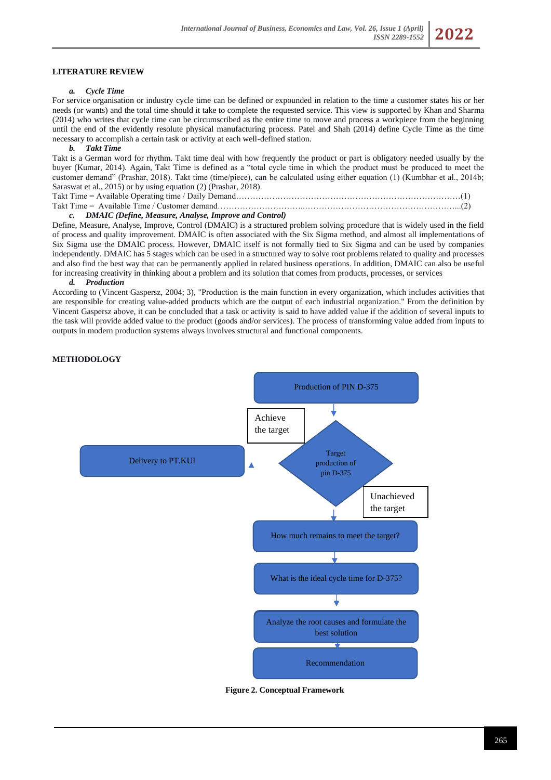## **LITERATURE REVIEW**

#### *a. Cycle Time*

For service organisation or industry cycle time can be defined or expounded in relation to the time a customer states his or her needs (or wants) and the total time should it take to complete the requested service. This view is supported by Khan and Sharma (2014) who writes that cycle time can be circumscribed as the entire time to move and process a workpiece from the beginning until the end of the evidently resolute physical manufacturing process. Patel and Shah (2014) define Cycle Time as the time necessary to accomplish a certain task or activity at each well-defined station.

#### *b. Takt Time*

Takt is a German word for rhythm. Takt time deal with how frequently the product or part is obligatory needed usually by the buyer (Kumar, 2014). Again, Takt Time is defined as a "total cycle time in which the product must be produced to meet the customer demand" (Prashar, 2018). Takt time (time/piece), can be calculated using either equation (1) (Kumbhar et al., 2014b; Saraswat et al., 2015) or by using equation (2) (Prashar, 2018).

Takt Time = Available Operating time / Daily Demand………………………………………………………………………(1)

# Takt Time = Available Time / Customer demand…………………………..………………………………………………...(2)

# *c. DMAIC (Define, Measure, Analyse, Improve and Control)*

Define, Measure, Analyse, Improve, Control (DMAIC) is a structured problem solving procedure that is widely used in the field of process and quality improvement. DMAIC is often associated with the Six Sigma method, and almost all implementations of Six Sigma use the DMAIC process. However, DMAIC itself is not formally tied to Six Sigma and can be used by companies independently. DMAIC has 5 stages which can be used in a structured way to solve root problems related to quality and processes and also find the best way that can be permanently applied in related business operations. In addition, DMAIC can also be useful for increasing creativity in thinking about a problem and its solution that comes from products, processes, or services

#### *d. Production*

According to (Vincent Gaspersz, 2004; 3), "Production is the main function in every organization, which includes activities that are responsible for creating value-added products which are the output of each industrial organization." From the definition by Vincent Gaspersz above, it can be concluded that a task or activity is said to have added value if the addition of several inputs to the task will provide added value to the product (goods and/or services). The process of transforming value added from inputs to outputs in modern production systems always involves structural and functional components.

### **METHODOLOGY**



**Figure 2. Conceptual Framework**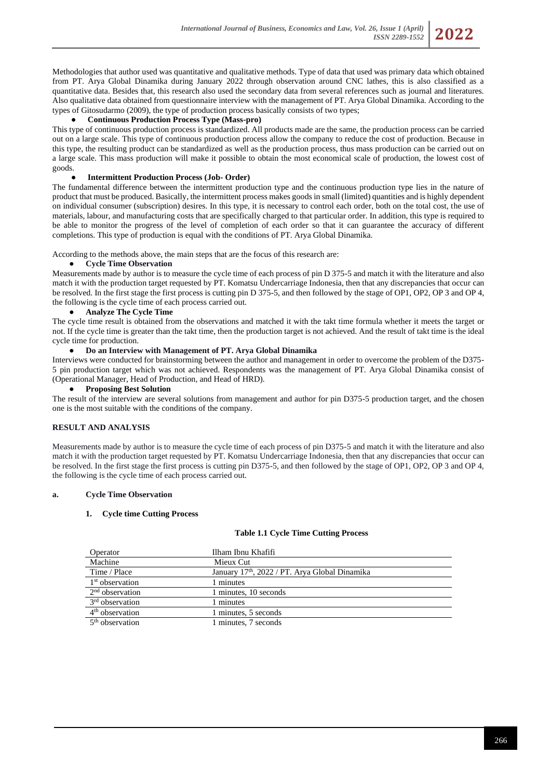Methodologies that author used was quantitative and qualitative methods. Type of data that used was primary data which obtained from PT. Arya Global Dinamika during January 2022 through observation around CNC lathes, this is also classified as a quantitative data. Besides that, this research also used the secondary data from several references such as journal and literatures. Also qualitative data obtained from questionnaire interview with the management of PT. Arya Global Dinamika. According to the types of Gitosudarmo (2009), the type of production process basically consists of two types;

### ● **Continuous Production Process Type (Mass-pro)**

This type of continuous production process is standardized. All products made are the same, the production process can be carried out on a large scale. This type of continuous production process allow the company to reduce the cost of production. Because in this type, the resulting product can be standardized as well as the production process, thus mass production can be carried out on a large scale. This mass production will make it possible to obtain the most economical scale of production, the lowest cost of goods.

#### ● **Intermittent Production Process (Job- Order)**

The fundamental difference between the intermittent production type and the continuous production type lies in the nature of product that must be produced. Basically, the intermittent process makes goods in small (limited) quantities and is highly dependent on individual consumer (subscription) desires. In this type, it is necessary to control each order, both on the total cost, the use of materials, labour, and manufacturing costs that are specifically charged to that particular order. In addition, this type is required to be able to monitor the progress of the level of completion of each order so that it can guarantee the accuracy of different completions. This type of production is equal with the conditions of PT. Arya Global Dinamika.

According to the methods above, the main steps that are the focus of this research are:

#### **Cycle Time Observation**

Measurements made by author is to measure the cycle time of each process of pin D 375-5 and match it with the literature and also match it with the production target requested by PT. Komatsu Undercarriage Indonesia, then that any discrepancies that occur can be resolved. In the first stage the first process is cutting pin D 375-5, and then followed by the stage of OP1, OP2, OP 3 and OP 4, the following is the cycle time of each process carried out.

#### ● **Analyze The Cycle Time**

The cycle time result is obtained from the observations and matched it with the takt time formula whether it meets the target or not. If the cycle time is greater than the takt time, then the production target is not achieved. And the result of takt time is the ideal cycle time for production.

### ● **Do an Interview with Management of PT. Arya Global Dinamika**

Interviews were conducted for brainstorming between the author and management in order to overcome the problem of the D375- 5 pin production target which was not achieved. Respondents was the management of PT. Arya Global Dinamika consist of (Operational Manager, Head of Production, and Head of HRD).

#### ● **Proposing Best Solution**

The result of the interview are several solutions from management and author for pin D375-5 production target, and the chosen one is the most suitable with the conditions of the company.

#### **RESULT AND ANALYSIS**

Measurements made by author is to measure the cycle time of each process of pin D375-5 and match it with the literature and also match it with the production target requested by PT. Komatsu Undercarriage Indonesia, then that any discrepancies that occur can be resolved. In the first stage the first process is cutting pin D375-5, and then followed by the stage of OP1, OP2, OP 3 and OP 4, the following is the cycle time of each process carried out.

### **a. Cycle Time Observation**

#### **1. Cycle time Cutting Process**

#### **Table 1.1 Cycle Time Cutting Process**

| Operator                    | Ilham Ibnu Khafifi                                         |
|-----------------------------|------------------------------------------------------------|
| Machine                     | Mieux Cut                                                  |
| Time / Place                | January 17 <sup>th</sup> , 2022 / PT. Arya Global Dinamika |
| 1 <sup>st</sup> observation | minutes                                                    |
| $2nd$ observation           | 1 minutes, 10 seconds                                      |
| 3 <sup>rd</sup> observation | 1 minutes                                                  |
| 4 <sup>th</sup> observation | 1 minutes, 5 seconds                                       |
| $5th$ observation           | 1 minutes, 7 seconds                                       |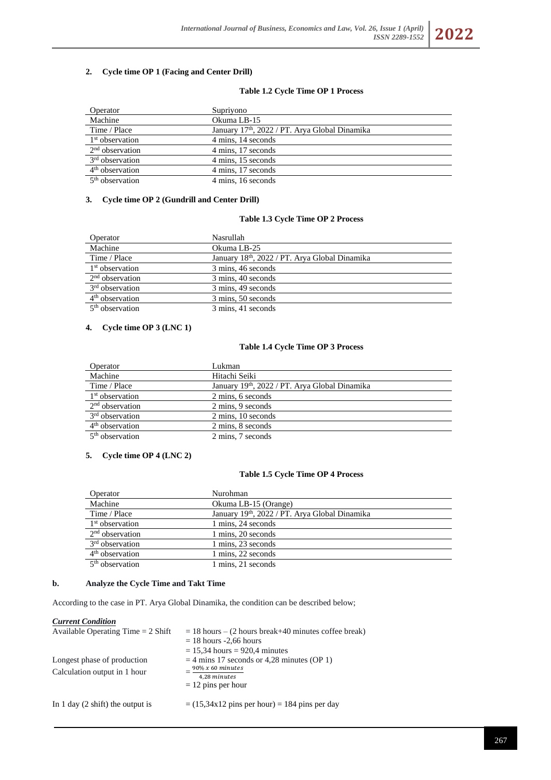# **2. Cycle time OP 1 (Facing and Center Drill)**

#### **Table 1.2 Cycle Time OP 1 Process**

| Operator                    | Supriyono                                                  |
|-----------------------------|------------------------------------------------------------|
| Machine                     | Okuma LB-15                                                |
| Time / Place                | January 17 <sup>th</sup> , 2022 / PT. Arya Global Dinamika |
| $1st$ observation           | 4 mins, 14 seconds                                         |
| $2nd$ observation           | 4 mins, 17 seconds                                         |
| 3 <sup>rd</sup> observation | 4 mins, 15 seconds                                         |
| $4th$ observation           | 4 mins. 17 seconds                                         |
| $5th$ observation           | 4 mins. 16 seconds                                         |

#### **3. Cycle time OP 2 (Gundrill and Center Drill)**

#### **Table 1.3 Cycle Time OP 2 Process**

| Operator                    | Nasrullah                                     |
|-----------------------------|-----------------------------------------------|
| Machine                     | Okuma LB-25                                   |
| Time / Place                | January 18th, 2022 / PT. Arya Global Dinamika |
| $1st$ observation           | 3 mins, 46 seconds                            |
| $2nd$ observation           | 3 mins, 40 seconds                            |
| 3 <sup>rd</sup> observation | 3 mins, 49 seconds                            |
| $4th$ observation           | 3 mins, 50 seconds                            |
| 5 <sup>th</sup> observation | 3 mins, 41 seconds                            |

### **4. Cycle time OP 3 (LNC 1)**

## **Table 1.4 Cycle Time OP 3 Process**

| Operator                    | Lukman                                        |
|-----------------------------|-----------------------------------------------|
| Machine                     | Hitachi Seiki                                 |
| Time / Place                | January 19th, 2022 / PT. Arya Global Dinamika |
| $1st$ observation           | 2 mins, 6 seconds                             |
| $2nd$ observation           | 2 mins, 9 seconds                             |
| 3 <sup>rd</sup> observation | 2 mins, 10 seconds                            |
| $4th$ observation           | 2 mins, 8 seconds                             |
| $5th$ observation           | 2 mins, 7 seconds                             |

## **5. Cycle time OP 4 (LNC 2)**

# **Table 1.5 Cycle Time OP 4 Process**

| Operator                    | Nurohman                                      |
|-----------------------------|-----------------------------------------------|
| Machine                     | Okuma LB-15 (Orange)                          |
| Time / Place                | January 19th, 2022 / PT. Arya Global Dinamika |
| $1st$ observation           | 1 mins, 24 seconds                            |
| $2nd$ observation           | 1 mins, 20 seconds                            |
| 3 <sup>rd</sup> observation | 1 mins, 23 seconds                            |
| $4th$ observation           | 1 mins. 22 seconds                            |
| $5th$ observation           | 1 mins, 21 seconds                            |

# **b. Analyze the Cycle Time and Takt Time**

According to the case in PT. Arya Global Dinamika, the condition can be described below;

#### *Current Condition*

| Available Operating Time $= 2$ Shift                        | $= 18$ hours $- (2$ hours break+40 minutes coffee break)<br>$= 18$ hours -2,66 hours<br>$= 15,34$ hours $= 920,4$ minutes |  |
|-------------------------------------------------------------|---------------------------------------------------------------------------------------------------------------------------|--|
| Longest phase of production<br>Calculation output in 1 hour | $=$ 4 mins 17 seconds or 4,28 minutes (OP 1)<br>$90\% x 60 minutes$<br>4,28 minutes<br>$= 12$ pins per hour               |  |
| In 1 day $(2 \text{ shift})$ the output is                  | $= (15,34x12 \text{ pins per hour}) = 184 \text{ pins per day}$                                                           |  |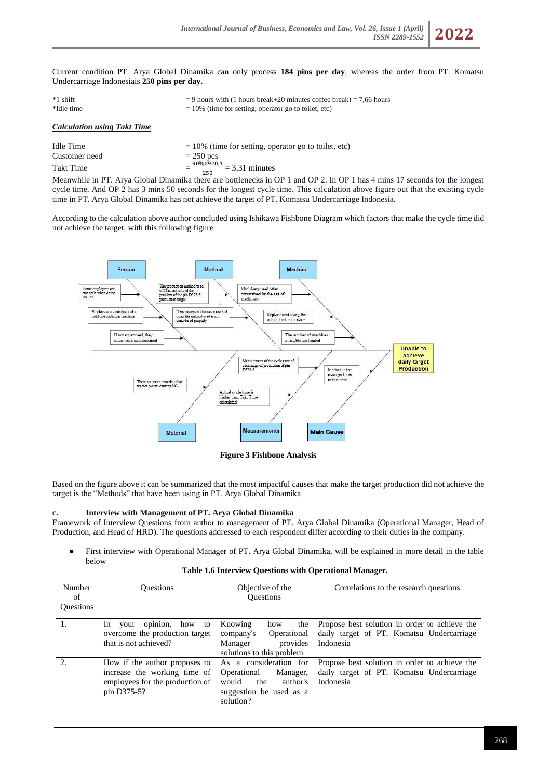*ISSN 2289-1552* **2022**

Current condition PT. Arya Global Dinamika can only process **184 pins per day**, whereas the order from PT. Komatsu Undercarriage Indonesiais **250 pins per day.**

| $*1$ shift<br>*Idle time           | $=$ 9 hours with (1 hours break+20 minutes coffee break) = 7,66 hours<br>$= 10\%$ (time for setting, operator go to toilet, etc) |  |
|------------------------------------|----------------------------------------------------------------------------------------------------------------------------------|--|
| <b>Calculation using Takt Time</b> |                                                                                                                                  |  |
|                                    |                                                                                                                                  |  |

| Idle Time     | $= 10\%$ (time for setting, operator go to toilet, etc) |
|---------------|---------------------------------------------------------|
| Customer need | $= 250$ pcs                                             |
| Takt Time     | $=\frac{90\%x920,4}{2}$ = 3,31 minutes<br>250           |

<sup>250</sup><br>Meanwhile in PT. Arya Global Dinamika there are bottlenecks in OP 1 and OP 2. In OP 1 has 4 mins 17 seconds for the longest cycle time. And OP 2 has 3 mins 50 seconds for the longest cycle time. This calculation above figure out that the existing cycle time in PT. Arya Global Dinamika has not achieve the target of PT. Komatsu Undercarriage Indonesia.

According to the calculation above author concluded using Ishikawa Fishbone Diagram which factors that make the cycle time did not achieve the target, with this following figure



**Figure 3 Fishbone Analysis**

Based on the figure above it can be summarized that the most impactful causes that make the target production did not achieve the target is the "Methods" that have been using in PT. Arya Global Dinamika.

### **c. Interview with Management of PT. Arya Global Dinamika**

Framework of Interview Questions from author to management of PT. Arya Global Dinamika (Operational Manager, Head of Production, and Head of HRD). The questions addressed to each respondent differ according to their duties in the company.

● First interview with Operational Manager of PT. Arya Global Dinamika, will be explained in more detail in the table below

### **Table 1.6 Interview Questions with Operational Manager.**

| Number<br>of<br><b>Ouestions</b> | <b>Ouestions</b>                                                                                                | Objective of the<br><b>Ouestions</b>                                                                                  | Correlations to the research questions                                                                  |
|----------------------------------|-----------------------------------------------------------------------------------------------------------------|-----------------------------------------------------------------------------------------------------------------------|---------------------------------------------------------------------------------------------------------|
|                                  | opinion,<br>how to<br>In.<br>your<br>overcome the production target<br>that is not achieved?                    | Knowing<br>the<br>how<br>company's<br>Operational<br>Manager<br>provides<br>solutions to this problem                 | Propose best solution in order to achieve the<br>daily target of PT. Komatsu Undercarriage<br>Indonesia |
| 2.                               | How if the author proposes to<br>increase the working time of<br>employees for the production of<br>pin D375-5? | As a consideration for<br>Operational<br>Manager,<br>the<br>would<br>author's<br>suggestion be used as a<br>solution? | Propose best solution in order to achieve the<br>daily target of PT. Komatsu Undercarriage<br>Indonesia |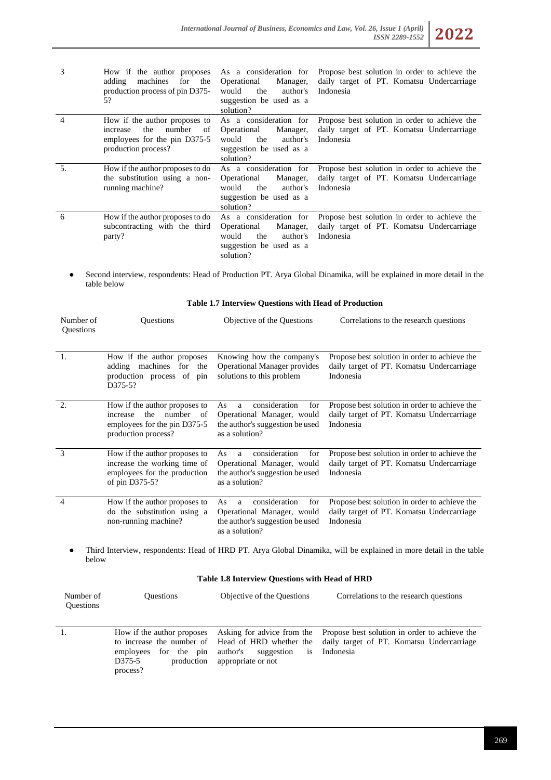| 3              | How if the author proposes<br>for the<br>adding<br>machines<br>production process of pin D375-<br>5?                    | As a consideration for<br>Operational<br>Manager,<br>would<br>the<br>author's<br>suggestion be used as a<br>solution? | Propose best solution in order to achieve the<br>daily target of PT. Komatsu Undercarriage<br>Indonesia |
|----------------|-------------------------------------------------------------------------------------------------------------------------|-----------------------------------------------------------------------------------------------------------------------|---------------------------------------------------------------------------------------------------------|
| $\overline{4}$ | How if the author proposes to<br>the<br>number<br>of<br>increase<br>employees for the pin D375-5<br>production process? | As a consideration for<br>Operational<br>Manager,<br>the<br>author's<br>would<br>suggestion be used as a<br>solution? | Propose best solution in order to achieve the<br>daily target of PT. Komatsu Undercarriage<br>Indonesia |
| 5.             | How if the author proposes to do<br>the substitution using a non-<br>running machine?                                   | As a consideration for<br>Operational<br>Manager,<br>would<br>the<br>author's<br>suggestion be used as a<br>solution? | Propose best solution in order to achieve the<br>daily target of PT. Komatsu Undercarriage<br>Indonesia |
| 6              | How if the author proposes to do<br>subcontracting with the third<br>party?                                             | As a consideration for<br>Operational<br>Manager,<br>would<br>author's<br>the<br>suggestion be used as a<br>solution? | Propose best solution in order to achieve the<br>daily target of PT. Komatsu Undercarriage<br>Indonesia |

● Second interview, respondents: Head of Production PT. Arya Global Dinamika, will be explained in more detail in the table below

| Number of<br>Questions | Questions                                                                                                               | Objective of the Questions                                                                                         | Correlations to the research questions                                                                            |
|------------------------|-------------------------------------------------------------------------------------------------------------------------|--------------------------------------------------------------------------------------------------------------------|-------------------------------------------------------------------------------------------------------------------|
| $\overline{1}$ .       | How if the author proposes<br>adding machines<br>for<br>the<br>production process of<br>pin<br>D375-5?                  | Knowing how the company's<br><b>Operational Manager provides</b><br>solutions to this problem                      | Propose best solution in order to achieve the<br>daily target of PT. Komatsu Undercarriage<br>Indonesia           |
| 2.                     | How if the author proposes to<br>the<br>number<br>of<br>increase<br>employees for the pin D375-5<br>production process? | consideration<br>for<br>As<br>a<br>Operational Manager, would<br>the author's suggestion be used<br>as a solution? | Propose best solution in order to achieve the<br>daily target of PT. Komatsu Undercarriage<br>Indonesia           |
| 3                      | How if the author proposes to<br>increase the working time of<br>employees for the production<br>of pin D375-5?         | consideration<br>for<br>As<br>a<br>Operational Manager, would<br>the author's suggestion be used<br>as a solution? | Propose best solution in order to achieve the<br>daily target of PT. Komatsu Undercarriage<br>Indonesia           |
| $\overline{4}$         | How if the author proposes to<br>do the substitution using a<br>non-running machine?                                    | consideration<br>for<br>As<br>a<br>Operational Manager, would<br>the author's suggestion be used<br>as a solution? | Propose best solution in order to achieve the<br>daily target of PT. Komatsu Undercarriage<br>Indonesia           |
|                        | below                                                                                                                   |                                                                                                                    | Third Interview, respondents: Head of HRD PT. Arya Global Dinamika, will be explained in more detail in the table |

# **Table 1.7 Interview Questions with Head of Production**

# **Table 1.8 Interview Questions with Head of HRD**

| Number of<br><b>Ouestions</b> | <b>Ouestions</b>                                                                           | Objective of the Questions                      | Correlations to the research questions                                                                                                                                               |
|-------------------------------|--------------------------------------------------------------------------------------------|-------------------------------------------------|--------------------------------------------------------------------------------------------------------------------------------------------------------------------------------------|
|                               | How if the author proposes<br>for the pin<br>employees<br>production<br>D375-5<br>process? | author's suggestion<br>is<br>appropriate or not | Asking for advice from the Propose best solution in order to achieve the<br>to increase the number of Head of HRD whether the daily target of PT. Komatsu Undercarriage<br>Indonesia |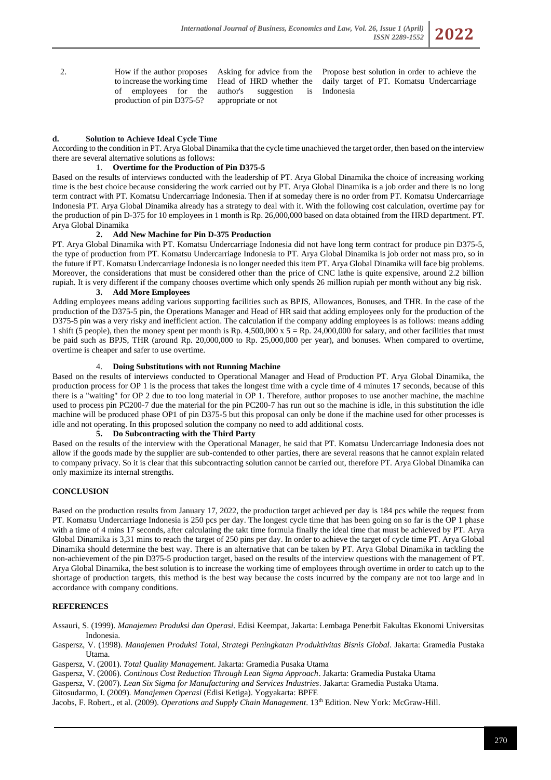2. How if the author proposes to increase the working time of employees for the production of pin D375-5?

Asking for advice from the Head of HRD whether the author's suggestion is appropriate or not

Propose best solution in order to achieve the daily target of PT. Komatsu Undercarriage Indonesia

# **d. Solution to Achieve Ideal Cycle Time**

According to the condition in PT. Arya Global Dinamika that the cycle time unachieved the target order, then based on the interview there are several alternative solutions as follows:

# 1. **Overtime for the Production of Pin D375-5**

Based on the results of interviews conducted with the leadership of PT. Arya Global Dinamika the choice of increasing working time is the best choice because considering the work carried out by PT. Arya Global Dinamika is a job order and there is no long term contract with PT. Komatsu Undercarriage Indonesia. Then if at someday there is no order from PT. Komatsu Undercarriage Indonesia PT. Arya Global Dinamika already has a strategy to deal with it. With the following cost calculation, overtime pay for the production of pin D-375 for 10 employees in 1 month is Rp. 26,000,000 based on data obtained from the HRD department. PT. Arya Global Dinamika

### **2. Add New Machine for Pin D-375 Production**

PT. Arya Global Dinamika with PT. Komatsu Undercarriage Indonesia did not have long term contract for produce pin D375-5, the type of production from PT. Komatsu Undercarriage Indonesia to PT. Arya Global Dinamika is job order not mass pro, so in the future if PT. Komatsu Undercarriage Indonesia is no longer needed this item PT. Arya Global Dinamika will face big problems. Moreover, the considerations that must be considered other than the price of CNC lathe is quite expensive, around 2.2 billion rupiah. It is very different if the company chooses overtime which only spends 26 million rupiah per month without any big risk.

## **3. Add More Employees**

Adding employees means adding various supporting facilities such as BPJS, Allowances, Bonuses, and THR. In the case of the production of the D375-5 pin, the Operations Manager and Head of HR said that adding employees only for the production of the D375-5 pin was a very risky and inefficient action. The calculation if the company adding employees is as follows: means adding 1 shift (5 people), then the money spent per month is Rp. 4,500,000 x  $5 =$  Rp. 24,000,000 for salary, and other facilities that must be paid such as BPJS, THR (around Rp. 20,000,000 to Rp. 25,000,000 per year), and bonuses. When compared to overtime, overtime is cheaper and safer to use overtime.

### 4. **Doing Substitutions with not Running Machine**

Based on the results of interviews conducted to Operational Manager and Head of Production PT. Arya Global Dinamika, the production process for OP 1 is the process that takes the longest time with a cycle time of 4 minutes 17 seconds, because of this there is a "waiting" for OP 2 due to too long material in OP 1. Therefore, author proposes to use another machine, the machine used to process pin PC200-7 due the material for the pin PC200-7 has run out so the machine is idle, in this substitution the idle machine will be produced phase OP1 of pin D375-5 but this proposal can only be done if the machine used for other processes is idle and not operating. In this proposed solution the company no need to add additional costs.

## **5. Do Subcontracting with the Third Party**

Based on the results of the interview with the Operational Manager, he said that PT. Komatsu Undercarriage Indonesia does not allow if the goods made by the supplier are sub-contended to other parties, there are several reasons that he cannot explain related to company privacy. So it is clear that this subcontracting solution cannot be carried out, therefore PT. Arya Global Dinamika can only maximize its internal strengths.

### **CONCLUSION**

Based on the production results from January 17, 2022, the production target achieved per day is 184 pcs while the request from PT. Komatsu Undercarriage Indonesia is 250 pcs per day. The longest cycle time that has been going on so far is the OP 1 phase with a time of 4 mins 17 seconds, after calculating the takt time formula finally the ideal time that must be achieved by PT. Arya Global Dinamika is 3,31 mins to reach the target of 250 pins per day. In order to achieve the target of cycle time PT. Arya Global Dinamika should determine the best way. There is an alternative that can be taken by PT. Arya Global Dinamika in tackling the non-achievement of the pin D375-5 production target, based on the results of the interview questions with the management of PT. Arya Global Dinamika, the best solution is to increase the working time of employees through overtime in order to catch up to the shortage of production targets, this method is the best way because the costs incurred by the company are not too large and in accordance with company conditions.

### **REFERENCES**

Assauri, S. (1999). *Manajemen Produksi dan Operasi*. Edisi Keempat, Jakarta: Lembaga Penerbit Fakultas Ekonomi Universitas Indonesia.

Gaspersz, V. (1998). *Manajemen Produksi Total, Strategi Peningkatan Produktivitas Bisnis Global*. Jakarta: Gramedia Pustaka Utama.

Gaspersz, V. (2001). *Total Quality Management*. Jakarta: Gramedia Pusaka Utama

Gaspersz, V. (2006). *Continous Cost Reduction Through Lean Sigma Approach*. Jakarta: Gramedia Pustaka Utama

Gaspersz, V. (2007). *Lean Six Sigma for Manufacturing and Services Industries*. Jakarta: Gramedia Pustaka Utama.

Gitosudarmo, I. (2009). *Manajemen Operasi* (Edisi Ketiga). Yogyakarta: BPFE

Jacobs, F. Robert., et al. (2009). *Operations and Supply Chain Management*. 13th Edition. New York: McGraw-Hill.